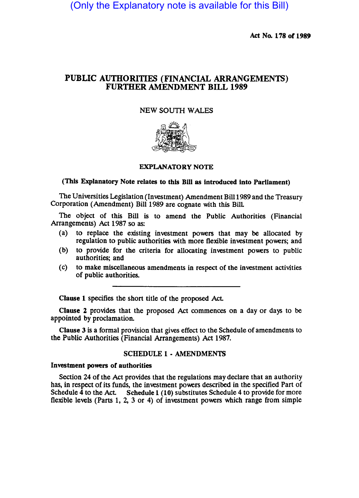(Only the Explanatory note is available for this Bill)

Act No. 178 of 1989

# PUBLIC AUTHORITIES (FINANCIAL ARRANGEMENTS) FURTHER AMENDMENT BILL 1989

## NEW SOUTH WALES



#### EXPLANATORY NOTE

### (This Explanatory Note relates to this Bill as introduced into Parliament)

The Universities Legislation (Investment) Amendment Bill 1989 and the Treasury Corporation (Amendment) Bill 1989 are cognate with this BilL

The Object of this Bill is to amend the Public Authorities (Financial Arrangements) Act 1987 so as:

- (a) to replace the existing investment powers that may be allocated by regulation to public authorities with more flexible investment powers; and
- (b) to provide for the criteria for allocating investment powers to public authorities; and
- (c) to make miscellaneous amendments in respect of the investment activities of public authorities.

Clause 1 specifies the short title of the proposed Act.

Clause 2 provides that the proposed Act commences on a day or days to be appointed by proclamation.

Clause 3 is a formal provision that gives effect to the Schedule of amendments to the Public Authorities (Financial Arrangements) Act 1987.

### SCHEDULE 1 - AMENDMENTS

#### Investment powers of authorities

Section 24 of the Act provides that the regulations may declare that an authority has, in respect of its funds, the investment powers described in the specified Part of Schedule 4 to the Act. Schedule 1 (10) substitutes Schedule 4 to provide for more flexible levels (Parts 1, 2, 3 or 4) of investment powers which range from simple